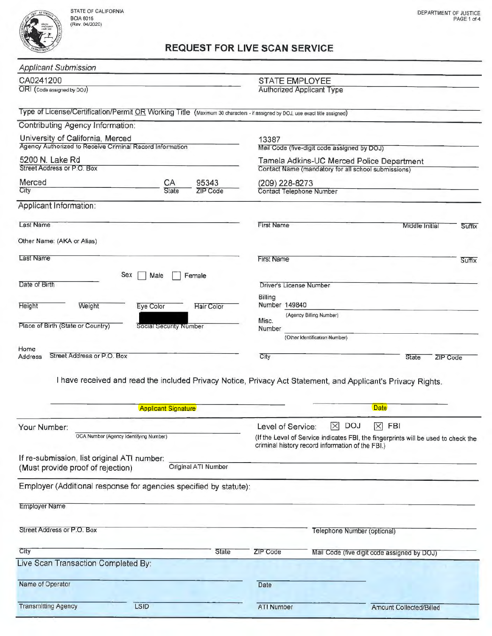

| <b>Applicant Submission</b>                                                                                                  |                               |            |                                                     |                                 |        |  |
|------------------------------------------------------------------------------------------------------------------------------|-------------------------------|------------|-----------------------------------------------------|---------------------------------|--------|--|
| CA0241200                                                                                                                    |                               |            | <b>STATE EMPLOYEE</b>                               |                                 |        |  |
| ORI (Code assigned by DOJ)                                                                                                   |                               |            | <b>Authorized Applicant Type</b>                    |                                 |        |  |
| Type of License/Certification/Permit OR Working Title (Maximum 30 characters - if assigned by DOJ, use exact title assigned) |                               |            |                                                     |                                 |        |  |
| Contributing Agency Information:                                                                                             |                               |            |                                                     |                                 |        |  |
| University of California, Merced                                                                                             |                               |            | 13387                                               |                                 |        |  |
| Agency Authorized to Receive Criminal Record Information                                                                     |                               |            | Mail Code (five-digit code assigned by DOJ)         |                                 |        |  |
| 5200 N. Lake Rd                                                                                                              |                               |            | Tamela Adkins-UC Merced Police Department           |                                 |        |  |
| Street Address or P.O. Box                                                                                                   |                               |            | Contact Name (mandatory for all school submissions) |                                 |        |  |
| Merced                                                                                                                       | CA                            | 95343      | (209) 228-8273                                      |                                 |        |  |
| City                                                                                                                         | State                         | ZIP Code   | Contact Telephone Number                            |                                 |        |  |
| Applicant Information:                                                                                                       |                               |            |                                                     |                                 |        |  |
| <b>Last Name</b>                                                                                                             |                               |            | <b>First Name</b><br>Middle Initial<br>Suffix       |                                 |        |  |
| Other Name: (AKA or Alias)                                                                                                   |                               |            |                                                     |                                 |        |  |
| <b>Last Name</b>                                                                                                             |                               |            | <b>First Name</b>                                   |                                 | Suffix |  |
| Sex                                                                                                                          | Male                          | Female     |                                                     |                                 |        |  |
| Date of Birth                                                                                                                |                               |            | Driver's License Number                             |                                 |        |  |
| Height<br>Weight                                                                                                             | Eye Color                     | Hair Color | Billing<br>Number 149840                            |                                 |        |  |
|                                                                                                                              |                               |            | (Agency Billing Number)                             |                                 |        |  |
| Place of Birth (State or Country)                                                                                            | <b>Social Security Number</b> |            | Misc.<br>Number                                     |                                 |        |  |
|                                                                                                                              |                               |            | (Other Identification Number)                       |                                 |        |  |
| Home                                                                                                                         |                               |            |                                                     |                                 |        |  |
| Street Address or P.O. Box<br>Address                                                                                        |                               |            | City                                                | <b>State</b><br><b>ZIP Code</b> |        |  |
|                                                                                                                              |                               |            |                                                     |                                 |        |  |

I have received and read the included Privacy Notice, Privacy Act Statement, and Applicant's Privacy Rights.

| <b>Applicant Signature</b>                                                       |                            |                                                                                                                                                                                                              | <b>Date</b>                                 |  |
|----------------------------------------------------------------------------------|----------------------------|--------------------------------------------------------------------------------------------------------------------------------------------------------------------------------------------------------------|---------------------------------------------|--|
| Your Number:<br>OCA Number (Agency Identifying Number)                           |                            | ⊠<br><b>DOJ</b><br>$\mathbb{X}$<br><b>FBI</b><br>Level of Service:<br>(If the Level of Service indicates FBI, the fingerprints will be used to check the<br>criminal history record information of the FBI.) |                                             |  |
| If re-submission, list original ATI number:<br>(Must provide proof of rejection) | <b>Original ATI Number</b> |                                                                                                                                                                                                              |                                             |  |
| Employer (Additional response for agencies specified by statute):                |                            |                                                                                                                                                                                                              |                                             |  |
| <b>Employer Name</b>                                                             |                            |                                                                                                                                                                                                              |                                             |  |
| Street Address or P.O. Box                                                       |                            |                                                                                                                                                                                                              | Telephone Number (optional)                 |  |
| City                                                                             | State                      | ZIP Code                                                                                                                                                                                                     | Mail Code (five digit code assigned by DOJ) |  |
| Live Scan Transaction Completed By:                                              |                            |                                                                                                                                                                                                              |                                             |  |
| Name of Operator                                                                 |                            | Date                                                                                                                                                                                                         |                                             |  |
| <b>Transmitting Agency</b><br><b>LSID</b>                                        |                            | <b>ATI Number</b>                                                                                                                                                                                            | Amount Collected/Billed                     |  |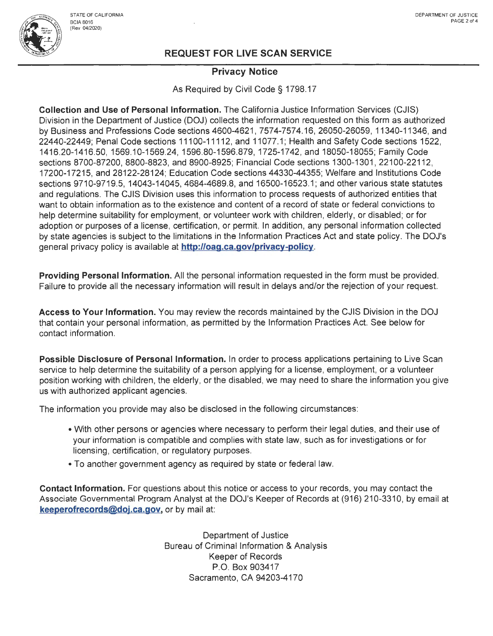

### **Privacy Notice**

As Required by Civil Code§ 1798.17

**Collection and Use of Personal Information.** The California Justice Information Services (CJIS) Division in the Department of Justice (DOJ) collects the information requested on this form as authorized by Business and Professions Code sections 4600-4621, 7574-7574.16, 26050-26059, 11340-11346, and 22440-22449; Penal Code sections 11100-11112, and 11077.1; Health and Safety Code sections 1522, 1416.20-1416.50, 1569.10-1569.24, 1596.80-1596.879, 1725-1742, and 18050-18055; Family Code sections 8700-87200, 8800-8823, and 8900-8925; Financial Code sections 1300-1301 , 22100-22112, 17200-17215, and 28122-28124; Education Code sections 44330-44355; Welfare and Institutions Code sections 9710-9719.5, 14043-14045, 4684-4689.8, and 16500-16523.1; and other various state statutes and regulations. The CJIS Division uses this information to process requests of authorized entities that want to obtain information as to the existence and content of a record of state or federal convictions to help determine suitability for employment, or volunteer work with children, elderly, or disabled; or for adoption or purposes of a license, certification, or permit. In addition, any personal information collected by state agencies is subject to the limitations in the Information Practices Act and state policy. The DOJ's general privacy policy is available at **http://oag.ca.gov/privacy-policy.** 

**Providing Personal Information.** All the personal information requested in the form must be provided. Failure to provide all the necessary information will result in delays and/or the rejection of your request.

**Access to Your Information.** You may review the records maintained by the CJIS Division in the DOJ that contain your personal information, as permitted by the Information Practices Act. See below for contact information.

**Possible Disclosure of Personal Information.** In order to process applications pertaining to Live Scan service to help determine the suitability of a person applying for a license, employment, or a volunteer position working with children, the elderly, or the disabled, we may need to share the information you give us with authorized applicant agencies.

The information you provide may also be disclosed in the following circumstances:

- With other persons or agencies where necessary to perform their legal duties, and their use of your information is compatible and complies with state law, such as for investigations or for licensing, certification, or regulatory purposes.
- To another government agency as required by state or federal law.

**Contact Information.** For questions about this notice or access to your records, you may contact the Associate Governmental Program Analyst at the DOJ's Keeper of Records at (916) 210-3310, by email at **keeperofrecords@doj.ca.gov,** or by mail at:

> Department of Justice Bureau of Criminal Information & Analysis Keeper of Records P.O. Box 903417 Sacramento, CA 94203-4170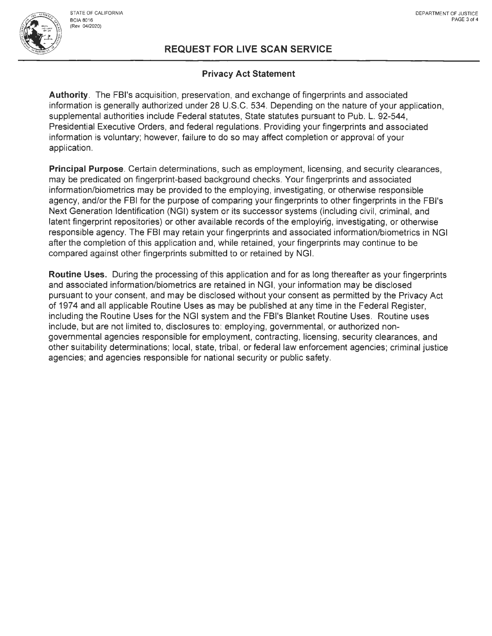

### **Privacy Act Statement**

**Authority.** The FBl's acquisition, preservation, and exchange of fingerprints and associated information is generally authorized under 28 U.S.C. 534. Depending on the nature of your application, supplemental authorities include Federal statutes, State statutes pursuant to Pub. L. 92-544, Presidential Executive Orders, and federal regulations . Providing your fingerprints and associated information is voluntary; however, failure to do so may affect completion or approval of your application.

**Principal Purpose.** Certain determinations, such as employment, licensing, and security clearances, may be predicated on fingerprint-based background checks. Your fingerprints and associated information/biometrics may be provided to the employing, investigating, or otherwise responsible agency, and/or the FBI for the purpose of comparing your fingerprints to other fingerprints in the FBl's Next Generation Identification (NGI) system or its successor systems (including civil, criminal, and latent fingerprint repositories) or other available records of the employing, investigating, or otherwise responsible agency. The FBI may retain your fingerprints and associated information/biometrics in NGI after the completion of this application and, while retained, your fingerprints may continue to be compared against other fingerprints submitted to or retained by NGI.

**Routine Uses.** During the processing of this application and for as long thereafter as your fingerprints and associated information/biometrics are retained in NGI, your information may be disclosed pursuant to your consent, and may be disclosed without your consent as permitted by the Privacy Act of 1974 and all applicable Routine Uses as may be published at any time in the Federal Register, including the Routine Uses for the NGI system and the FBl's Blanket Routine Uses. Routine uses include, but are not limited to, disclosures to: employing, governmental, or authorized nongovernmental agencies responsible for employment, contracting, licensing, security clearances, and other suitability determinations; local, state, tribal, or federal law enforcement agencies; criminal justice agencies; and agencies responsible for national security or public safety.